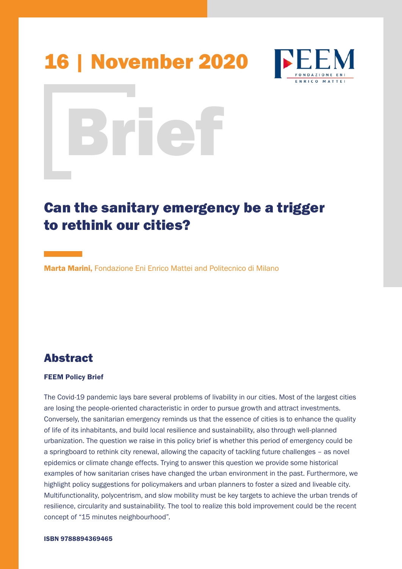# 16 | November 2020



# Brief

# Can the sanitary emergency be a trigger to rethink our cities?

Marta Marini, Fondazione Eni Enrico Mattei and Politecnico di Milano

# Abstract

### FEEM Policy Brief

The Covid-19 pandemic lays bare several problems of livability in our cities. Most of the largest cities are losing the people-oriented characteristic in order to pursue growth and attract investments. Conversely, the sanitarian emergency reminds us that the essence of cities is to enhance the quality of life of its inhabitants, and build local resilience and sustainability, also through well-planned urbanization. The question we raise in this policy brief is whether this period of emergency could be a springboard to rethink city renewal, allowing the capacity of tackling future challenges – as novel epidemics or climate change effects. Trying to answer this question we provide some historical examples of how sanitarian crises have changed the urban environment in the past. Furthermore, we highlight policy suggestions for policymakers and urban planners to foster a sized and liveable city. Multifunctionality, polycentrism, and slow mobility must be key targets to achieve the urban trends of resilience, circularity and sustainability. The tool to realize this bold improvement could be the recent concept of "15 minutes neighbourhood".

### ISBN 9788894369465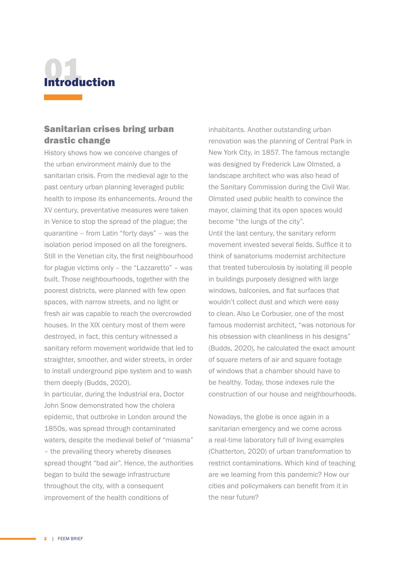

## Sanitarian crises bring urban drastic change

History shows how we conceive changes of the urban environment mainly due to the sanitarian crisis. From the medieval age to the past century urban planning leveraged public health to impose its enhancements. Around the XV century, preventative measures were taken in Venice to stop the spread of the plague; the quarantine – from Latin "forty days" – was the isolation period imposed on all the foreigners. Still in the Venetian city, the first neighbourhood for plague victims only – the "Lazzaretto" – was built. Those neighbourhoods, together with the poorest districts, were planned with few open spaces, with narrow streets, and no light or fresh air was capable to reach the overcrowded houses. In the XIX century most of them were destroyed, in fact, this century witnessed a sanitary reform movement worldwide that led to straighter, smoother, and wider streets, in order to install underground pipe system and to wash them deeply (Budds, 2020).

In particular, during the Industrial era, Doctor John Snow demonstrated how the cholera epidemic, that outbroke in London around the 1850s, was spread through contaminated waters, despite the medieval belief of "miasma" – the prevailing theory whereby diseases spread thought "bad air". Hence, the authorities began to build the sewage infrastructure throughout the city, with a consequent improvement of the health conditions of

inhabitants. Another outstanding urban renovation was the planning of Central Park in New York City, in 1857. The famous rectangle was designed by Frederick Law Olmsted, a landscape architect who was also head of the Sanitary Commission during the Civil War. Olmsted used public health to convince the mayor, claiming that its open spaces would become "the lungs of the city". Until the last century, the sanitary reform movement invested several fields. Suffice it to think of sanatoriums modernist architecture that treated tuberculosis by isolating ill people in buildings purposely designed with large windows, balconies, and flat surfaces that wouldn't collect dust and which were easy to clean. Also Le Corbusier, one of the most famous modernist architect, "was notorious for his obsession with cleanliness in his designs" (Budds, 2020), he calculated the exact amount of square meters of air and square footage of windows that a chamber should have to be healthy. Today, those indexes rule the construction of our house and neighbourhoods.

Nowadays, the globe is once again in a sanitarian emergency and we come across a real-time laboratory full of living examples (Chatterton, 2020) of urban transformation to restrict contaminations. Which kind of teaching are we learning from this pandemic? How our cities and policymakers can benefit from it in the near future?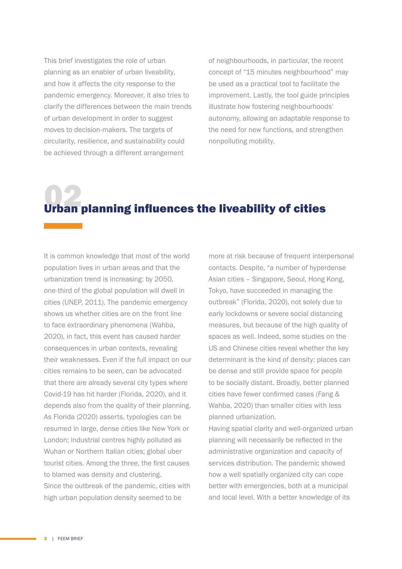This brief investigates the role of urban planning as an enabler of urban liveability, and how it affects the city response to the pandemic emergency. Moreover, it also tries to clarify the differences between the main trends of urban development in order to suggest moves to decision-makers. The targets of circularity, resilience, and sustainability could be achieved through a different arrangement

of neighbourhoods, in particular, the recent concept of "15 minutes neighbourhood" may be used as a practical tool to facilitate the improvement. Lastly, the tool guide principles illustrate how fostering neighbourhoods' autonomy, allowing an adaptable response to the need for new functions, and strengthen nonpolluting mobility.

# Urban planning influences the liveability of cities

It is common knowledge that most of the world population lives in urban areas and that the urbanization trend is increasing: by 2050, one-third of the global population will dwell in cities (UNEP, 2011). The pandemic emergency shows us whether cities are on the front line to face extraordinary phenomena (Wahba, 2020), in fact, this event has caused harder consequences in urban contexts, revealing their weaknesses. Even if the full impact on our cities remains to be seen, can be advocated that there are already several city types where Covid-19 has hit harder (Florida, 2020), and it depends also from the quality of their planning. As Florida (2020) asserts, typologies can be resumed in large, dense cities like New York or London; industrial centres highly polluted as Wuhan or Northern Italian cities; global uber tourist cities. Among the three, the first causes to blamed was density and clustering. Since the outbreak of the pandemic, cities with high urban population density seemed to be

more at risk because of frequent interpersonal contacts. Despite, "a number of hyperdense Asian cities – Singapore, Seoul, Hong Kong, Tokyo, have succeeded in managing the outbreak" (Florida, 2020), not solely due to early lockdowns or severe social distancing measures, but because of the high quality of spaces as well. Indeed, some studies on the US and Chinese cities reveal whether the key determinant is the kind of density: places can be dense and still provide space for people to be socially distant. Broadly, better planned cities have fewer confirmed cases (Fang & Wahba, 2020) than smaller cities with less planned urbanization.

Having spatial clarity and well-organized urban planning will necessarily be reflected in the administrative organization and capacity of services distribution. The pandemic showed how a well spatially organized city can cope better with emergencies, both at a municipal and local level. With a better knowledge of its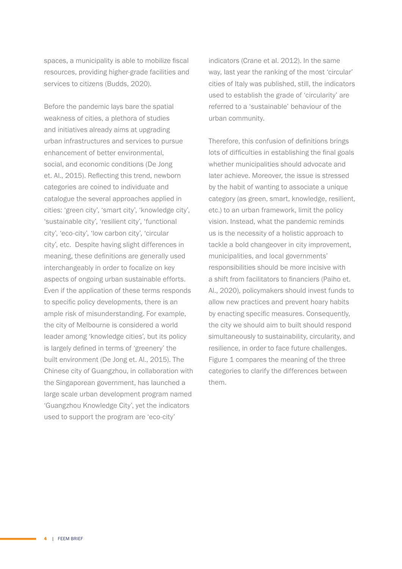spaces, a municipality is able to mobilize fiscal resources, providing higher-grade facilities and services to citizens (Budds, 2020).

Before the pandemic lays bare the spatial weakness of cities, a plethora of studies and initiatives already aims at upgrading urban infrastructures and services to pursue enhancement of better environmental, social, and economic conditions (De Jong et. Al., 2015). Reflecting this trend, newborn categories are coined to individuate and catalogue the several approaches applied in cities: 'green city', 'smart city', 'knowledge city', 'sustainable city', 'resilient city', 'functional city', 'eco-city', 'low carbon city', 'circular city', etc. Despite having slight differences in meaning, these definitions are generally used interchangeably in order to focalize on key aspects of ongoing urban sustainable efforts. Even if the application of these terms responds to specific policy developments, there is an ample risk of misunderstanding. For example, the city of Melbourne is considered a world leader among 'knowledge cities', but its policy is largely defined in terms of 'greenery' the built environment (De Jong et. Al., 2015). The Chinese city of Guangzhou, in collaboration with the Singaporean government, has launched a large scale urban development program named 'Guangzhou Knowledge City', yet the indicators used to support the program are 'eco-city'

indicators (Crane et al. 2012). In the same way, last year the ranking of the most 'circular' cities of Italy was published, still, the indicators used to establish the grade of 'circularity' are referred to a 'sustainable' behaviour of the urban community.

Therefore, this confusion of definitions brings lots of difficulties in establishing the final goals whether municipalities should advocate and later achieve. Moreover, the issue is stressed by the habit of wanting to associate a unique category (as green, smart, knowledge, resilient, etc.) to an urban framework, limit the policy vision. Instead, what the pandemic reminds us is the necessity of a holistic approach to tackle a bold changeover in city improvement, municipalities, and local governments' responsibilities should be more incisive with a shift from facilitators to financiers (Paiho et. Al., 2020), policymakers should invest funds to allow new practices and prevent hoary habits by enacting specific measures. Consequently, the city we should aim to built should respond simultaneously to sustainability, circularity, and resilience, in order to face future challenges. Figure 1 compares the meaning of the three categories to clarify the differences between them.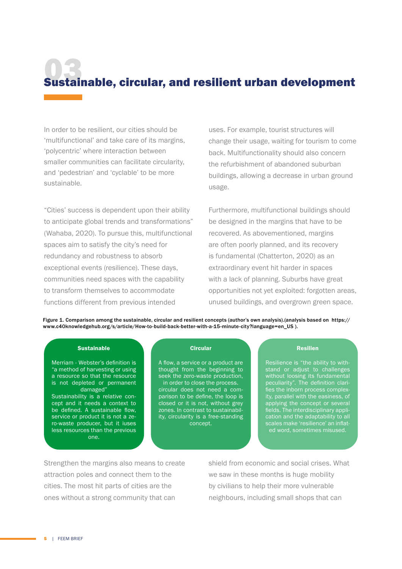# Sustainable, circular, and resilient urban development

In order to be resilient, our cities should be 'multifunctional' and take care of its margins, 'polycentric' where interaction between smaller communities can facilitate circularity, and 'pedestrian' and 'cyclable' to be more sustainable.

"Cities' success is dependent upon their ability to anticipate global trends and transformations" (Wahaba, 2020). To pursue this, multifunctional spaces aim to satisfy the city's need for redundancy and robustness to absorb exceptional events (resilience). These days, communities need spaces with the capability to transform themselves to accommodate functions different from previous intended

uses. For example, tourist structures will change their usage, waiting for tourism to come back. Multifunctionality should also concern the refurbishment of abandoned suburban buildings, allowing a decrease in urban ground usage.

Furthermore, multifunctional buildings should be designed in the margins that have to be recovered. As abovementioned, margins are often poorly planned, and its recovery is fundamental (Chatterton, 2020) as an extraordinary event hit harder in spaces with a lack of planning. Suburbs have great opportunities not yet exploited: forgotten areas, unused buildings, and overgrown green space.

Figure 1. Comparison among the sustainable, circular and resilient concepts (author's own analysis).(analysis based on https:// www.c40knowledgehub.org/s/article/How-to-build-back-better-with-a-15-minute-city?language=en\_US ).

#### Sustainable

Merriam - Webster's definition is "a method of harvesting or using a resource so that the resource is not depleted or permanent damaged"

Sustainability is a relative concept and it needs a context to be defined. A sustainable flow, service or product it is not a zero-waste producer, but it iuses less resources than the previous one.

#### **Circular**

A flow, a service or a product are thought from the beginning to seek the zero-waste production, in order to close the process. circular does not need a comparison to be define, the loop is closed or it is not, without grey zones. In contrast to sustainability, circularity is a free-standing concept.

### Resilien

Resilience is "the ability to withstand or adjust to challenges without loosing its fundamental peculiarity". The definition clarifies the inborn process complexapplying the concept or several fields. The interdisciplinary application and the adaptability to all scales make 'resilience' an inflated word, sometimes misused.

Strengthen the margins also means to create attraction poles and connect them to the cities. The most hit parts of cities are the ones without a strong community that can

shield from economic and social crises. What we saw in these months is huge mobility by civilians to help their more vulnerable neighbours, including small shops that can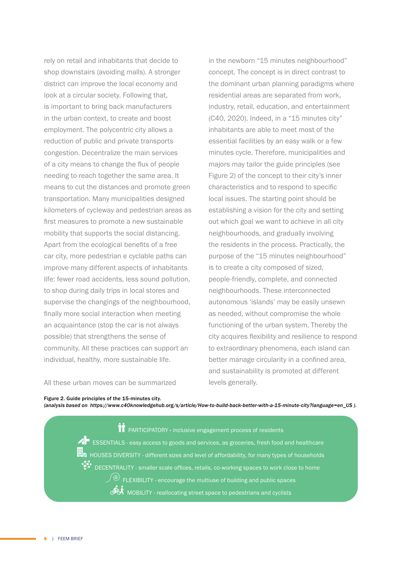rely on retail and inhabitants that decide to shop downstairs (avoiding malls). A stronger district can improve the local economy and look at a circular society. Following that, is important to bring back manufacturers in the urban context, to create and boost employment. The polycentric city allows a reduction of public and private transports congestion. Decentralize the main services of a city means to change the flux of people needing to reach together the same area. It means to cut the distances and promote green transportation. Many municipalities designed kilometers of cycleway and pedestrian areas as first measures to promote a new sustainable mobility that supports the social distancing. Apart from the ecological benefits of a free car city, more pedestrian e cyclable paths can improve many different aspects of inhabitants life: fewer road accidents, less sound pollution, to shop during daily trips in local stores and supervise the changings of the neighbourhood, finally more social interaction when meeting an acquaintance (stop the car is not always possible) that strengthens the sense of community. All these practices can support an individual, healthy, more sustainable life.

in the newborn "15 minutes neighbourhood" concept. The concept is in direct contrast to the dominant urban planning paradigms where residential areas are separated from work, industry, retail, education, and entertainment (C40, 2020). Indeed, in a "15 minutes city" inhabitants are able to meet most of the essential facilities by an easy walk or a few minutes cycle. Therefore, municipalities and majors may tailor the guide principles (see Figure 2) of the concept to their city's inner characteristics and to respond to specific local issues. The starting point should be establishing a vision for the city and setting out which goal we want to achieve in all city neighbourhoods, and gradually involving the residents in the process. Practically, the purpose of the "15 minutes neighbourhood" is to create a city composed of sized, people-friendly, complete, and connected neighbourhoods. These interconnected autonomous 'islands' may be easily unsewn as needed, without compromise the whole functioning of the urban system. Thereby the city acquires flexibility and resilience to respond to extraordinary phenomena, each island can better manage circularity in a confined area, and sustainability is promoted at different levels generally.

All these urban moves can be summarized

#### Figure 2. Guide principles of the 15-minutes city.

*(analysis based on https://www.c40knowledgehub.org/s/article/How-to-build-back-better-with-a-15-minute-city?language=en\_US ).*

**TT** PARTICIPATORY - inclusive engagement process of residents  $\mathbb{Z}^{\blacksquare}$  ESSENTIALS - easy access to goods and services, as groceries, fresh food and healthcare HH<br>THA HOUSES DIVERSITY - different sizes and level of affordability, for many types of households DECENTRALITY - smaller scale offices, retails, co-working spaces to work close to home  $\sqrt{\textcircled{\tiny o}}$  FLEXIBILITY - encourage the multiuse of building and public spaces MOBILITY - reallocating street space to pedestrians and cyclists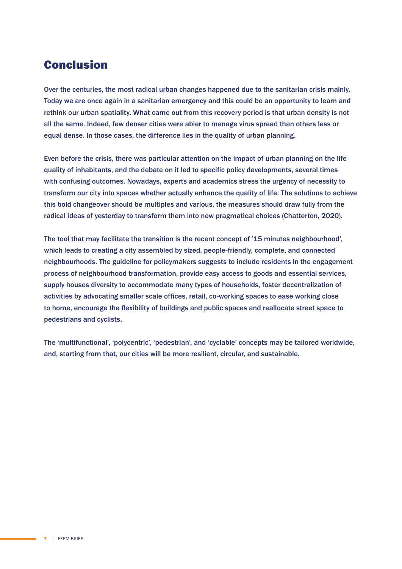# Conclusion

Over the centuries, the most radical urban changes happened due to the sanitarian crisis mainly. Today we are once again in a sanitarian emergency and this could be an opportunity to learn and rethink our urban spatiality. What came out from this recovery period is that urban density is not all the same. Indeed, few denser cities were abler to manage virus spread than others less or equal dense. In those cases, the difference lies in the quality of urban planning.

Even before the crisis, there was particular attention on the impact of urban planning on the life quality of inhabitants, and the debate on it led to specific policy developments, several times with confusing outcomes. Nowadays, experts and academics stress the urgency of necessity to transform our city into spaces whether actually enhance the quality of life. The solutions to achieve this bold changeover should be multiples and various, the measures should draw fully from the radical ideas of yesterday to transform them into new pragmatical choices (Chatterton, 2020).

The tool that may facilitate the transition is the recent concept of '15 minutes neighbourhood', which leads to creating a city assembled by sized, people-friendly, complete, and connected neighbourhoods. The guideline for policymakers suggests to include residents in the engagement process of neighbourhood transformation, provide easy access to goods and essential services, supply houses diversity to accommodate many types of households, foster decentralization of activities by advocating smaller scale offices, retail, co-working spaces to ease working close to home, encourage the flexibility of buildings and public spaces and reallocate street space to pedestrians and cyclists.

The 'multifunctional', 'polycentric', 'pedestrian', and 'cyclable' concepts may be tailored worldwide, and, starting from that, our cities will be more resilient, circular, and sustainable.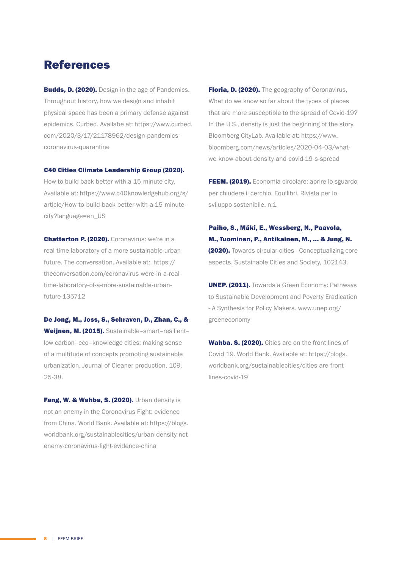# References

**Budds, D. (2020).** Design in the age of Pandemics. Throughout history, how we design and inhabit physical space has been a primary defense against epidemics. Curbed. Availabe at: https://www.curbed. com/2020/3/17/21178962/design-pandemicscoronavirus-quarantine

### C40 Cities Climate Leadership Group (2020).

How to build back better with a 15-minute city. Available at: https://www.c40knowledgehub.org/s/ article/How-to-build-back-better-with-a-15-minutecity?language=en\_US

Chatterton P. (2020). Coronavirus: we're in a real-time laboratory of a more sustainable urban future. The conversation. Available at: https:// theconversation.com/coronavirus-were-in-a-realtime-laboratory-of-a-more-sustainable-urbanfuture-135712

De Jong, M., Joss, S., Schraven, D., Zhan, C., & Weijnen, M. (2015). Sustainable-smart-resilientlow carbon–eco–knowledge cities; making sense of a multitude of concepts promoting sustainable urbanization. Journal of Cleaner production, 109, 25-38.

**Fang, W. & Wahba, S. (2020).** Urban density is not an enemy in the Coronavirus Fight: evidence from China. World Bank. Available at: https://blogs. worldbank.org/sustainablecities/urban-density-notenemy-coronavirus-fight-evidence-china

Floria, D. (2020). The geography of Coronavirus, What do we know so far about the types of places that are more susceptible to the spread of Covid-19? In the U.S., density is just the beginning of the story. Bloomberg CityLab. Available at: https://www. bloomberg.com/news/articles/2020-04-03/whatwe-know-about-density-and-covid-19-s-spread

FEEM. (2019). Economia circolare: aprire lo sguardo per chiudere il cerchio. Equilibri. Rivista per lo sviluppo sostenibile. n.1

Paiho, S., Mäki, E., Wessberg, N., Paavola, M., Tuominen, P., Antikainen, M., ... & Jung, N. (2020). Towards circular cities—Conceptualizing core aspects. Sustainable Cities and Society, 102143.

**UNEP. (2011).** Towards a Green Economy: Pathways to Sustainable Development and Poverty Eradication - A Synthesis for Policy Makers. www.unep.org/ greeneconomy

Wahba. S. (2020). Cities are on the front lines of Covid 19. World Bank. Available at: https://blogs. worldbank.org/sustainablecities/cities-are-frontlines-covid-19